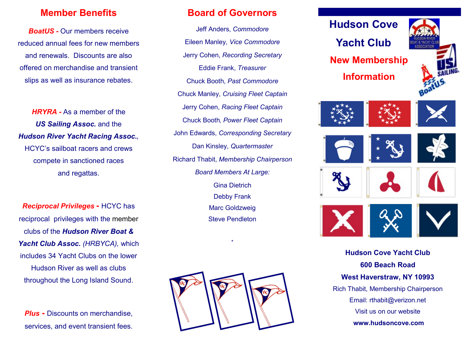## Member Benefits

BoatUS - Our members receive reduced annual fees for new members and renewals. Discounts are also offered on merchandise and transient slips as well as insurance rebates.

HRYRA - As a member of the US Sailing Assoc. and the Hudson River Yacht Racing Assoc., HCYC's sailboat racers and crews compete in sanctioned races and regattas.

Reciprocal Privileges - HCYC has reciprocal privileges with the member clubs of the Hudson River Boat & Yacht Club Assoc. (HRBYCA), which includes 34 Yacht Clubs on the lower Hudson River as well as clubs throughout the Long Island Sound.

**Plus - Discounts on merchandise,** services, and event transient fees.

## Board of Governors

Jeff Anders, Commodore Eileen Manley, Vice Commodore Jerry Cohen, Recording Secretary Eddie Frank, Treasurer Chuck Booth, Past Commodore Chuck Manley, Cruising Fleet Captain Jerry Cohen, Racing Fleet Captain Chuck Booth, Power Fleet Captain John Edwards, Corresponding Secretary Dan Kinsley, Quartermaster Richard Thabit, Membership Chairperson Board Members At Large: Gina Dietrich Debby Frank Marc Goldzweig Steve Pendleton



\*



600 Beach Road West Haverstraw, NY 10993 Rich Thabit, Membership Chairperson Email: rthabit@verizon.net Visit us on our website www.hudsoncove.com